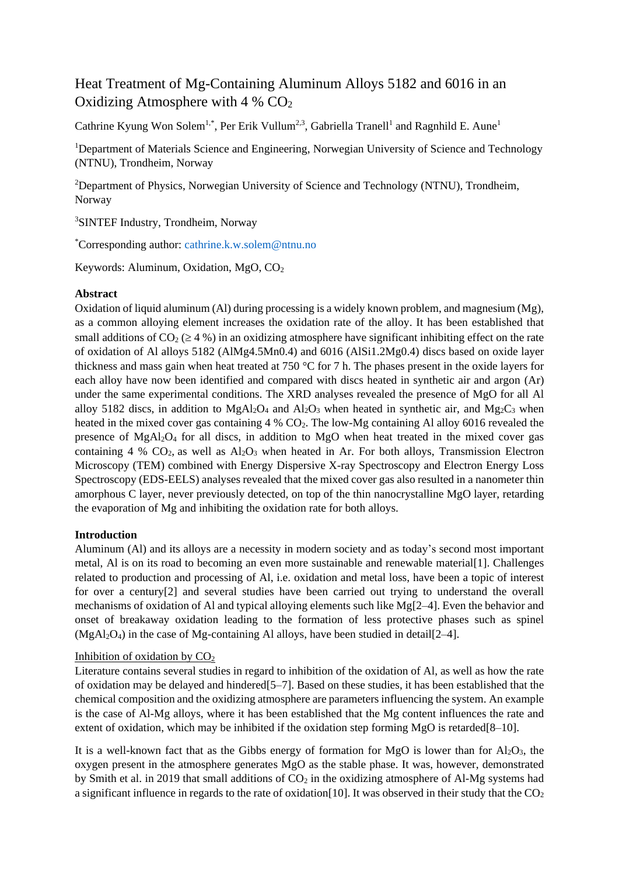# Heat Treatment of Mg-Containing Aluminum Alloys 5182 and 6016 in an Oxidizing Atmosphere with  $4\%$  CO<sub>2</sub>

Cathrine Kyung Won Solem<sup>1,\*</sup>, Per Erik Vullum<sup>2,3</sup>, Gabriella Tranell<sup>1</sup> and Ragnhild E. Aune<sup>1</sup>

<sup>1</sup>Department of Materials Science and Engineering, Norwegian University of Science and Technology (NTNU), Trondheim, Norway

<sup>2</sup>Department of Physics, Norwegian University of Science and Technology (NTNU), Trondheim, Norway

<sup>3</sup>SINTEF Industry, Trondheim, Norway

\*Corresponding author: [cathrine.k.w.solem@ntnu.no](mailto:cathrine.k.w.solem@ntnu.no)

Keywords: Aluminum, Oxidation, MgO, CO<sup>2</sup>

# **Abstract**

Oxidation of liquid aluminum (Al) during processing is a widely known problem, and magnesium  $(Mg)$ , as a common alloying element increases the oxidation rate of the alloy. It has been established that small additions of  $CO_2 \ ( \geq 4 \%)$  in an oxidizing atmosphere have significant inhibiting effect on the rate of oxidation of Al alloys 5182 (AlMg4.5Mn0.4) and 6016 (AlSi1.2Mg0.4) discs based on oxide layer thickness and mass gain when heat treated at 750 °C for 7 h. The phases present in the oxide layers for each alloy have now been identified and compared with discs heated in synthetic air and argon (Ar) under the same experimental conditions. The XRD analyses revealed the presence of MgO for all Al alloy 5182 discs, in addition to  $MgAl<sub>2</sub>O<sub>4</sub>$  and  $Al<sub>2</sub>O<sub>3</sub>$  when heated in synthetic air, and  $Mg<sub>2</sub>C<sub>3</sub>$  when heated in the mixed cover gas containing  $4\%$  CO<sub>2</sub>. The low-Mg containing Al alloy 6016 revealed the presence of MgAl2O<sup>4</sup> for all discs, in addition to MgO when heat treated in the mixed cover gas containing 4 %  $CO_2$ , as well as  $Al_2O_3$  when heated in Ar. For both alloys, Transmission Electron Microscopy (TEM) combined with Energy Dispersive X-ray Spectroscopy and Electron Energy Loss Spectroscopy (EDS-EELS) analyses revealed that the mixed cover gas also resulted in a nanometer thin amorphous C layer, never previously detected, on top of the thin nanocrystalline MgO layer, retarding the evaporation of Mg and inhibiting the oxidation rate for both alloys.

# **Introduction**

Aluminum (Al) and its alloys are a necessity in modern society and as today's second most important metal, Al is on its road to becoming an even more sustainable and renewable material[1]. Challenges related to production and processing of Al, i.e. oxidation and metal loss, have been a topic of interest for over a century[2] and several studies have been carried out trying to understand the overall mechanisms of oxidation of Al and typical alloying elements such like Mg[2–4]. Even the behavior and onset of breakaway oxidation leading to the formation of less protective phases such as spinel  $(MgA<sub>2</sub>O<sub>4</sub>)$  in the case of Mg-containing Al alloys, have been studied in detail[2–4].

# Inhibition of oxidation by  $CO<sub>2</sub>$

Literature contains several studies in regard to inhibition of the oxidation of Al, as well as how the rate of oxidation may be delayed and hindered[5–7]. Based on these studies, it has been established that the chemical composition and the oxidizing atmosphere are parameters influencing the system. An example is the case of Al-Mg alloys, where it has been established that the Mg content influences the rate and extent of oxidation, which may be inhibited if the oxidation step forming MgO is retarded[8–10].

It is a well-known fact that as the Gibbs energy of formation for MgO is lower than for  $A_1O_3$ , the oxygen present in the atmosphere generates MgO as the stable phase. It was, however, demonstrated by Smith et al. in 2019 that small additions of  $CO<sub>2</sub>$  in the oxidizing atmosphere of Al-Mg systems had a significant influence in regards to the rate of oxidation [10]. It was observed in their study that the  $CO<sub>2</sub>$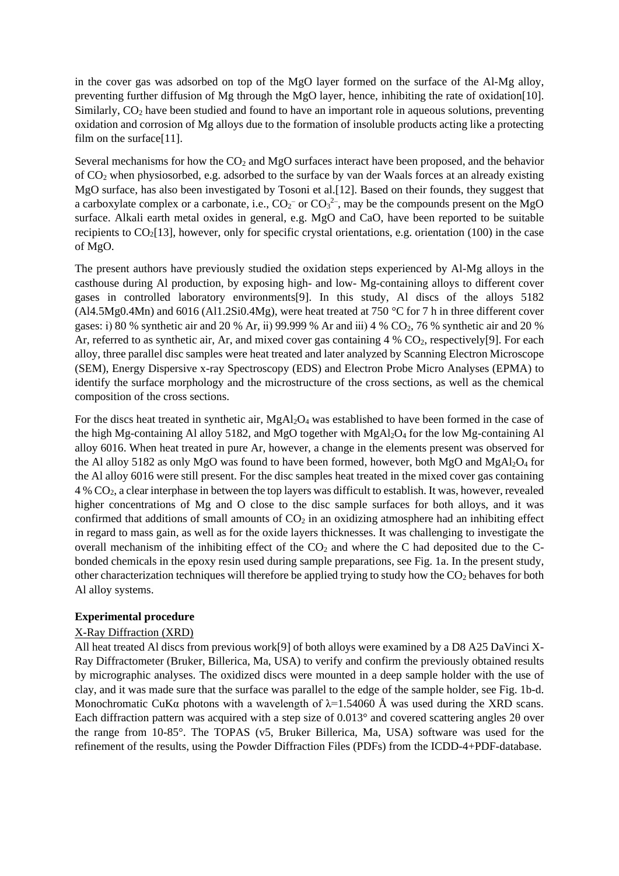in the cover gas was adsorbed on top of the MgO layer formed on the surface of the Al-Mg alloy, preventing further diffusion of Mg through the MgO layer, hence, inhibiting the rate of oxidation[10]. Similarly,  $CO<sub>2</sub>$  have been studied and found to have an important role in aqueous solutions, preventing oxidation and corrosion of Mg alloys due to the formation of insoluble products acting like a protecting film on the surface[11].

Several mechanisms for how the  $CO<sub>2</sub>$  and MgO surfaces interact have been proposed, and the behavior of CO<sup>2</sup> when physiosorbed, e.g. adsorbed to the surface by van der Waals forces at an already existing MgO surface, has also been investigated by Tosoni et al.[12]. Based on their founds, they suggest that a carboxylate complex or a carbonate, i.e.,  $CO_2^-$  or  $CO_3^2$ , may be the compounds present on the MgO surface. Alkali earth metal oxides in general, e.g. MgO and CaO, have been reported to be suitable recipients to  $CO<sub>2</sub>[13]$ , however, only for specific crystal orientations, e.g. orientation (100) in the case of MgO.

The present authors have previously studied the oxidation steps experienced by Al-Mg alloys in the casthouse during Al production, by exposing high- and low- Mg-containing alloys to different cover gases in controlled laboratory environments[9]. In this study, Al discs of the alloys 5182 (Al4.5Mg0.4Mn) and 6016 (Al1.2Si0.4Mg), were heat treated at 750 °C for 7 h in three different cover gases: i) 80 % synthetic air and 20 % Ar, ii) 99.999 % Ar and iii) 4 %  $CO<sub>2</sub>$ , 76 % synthetic air and 20 % Ar, referred to as synthetic air, Ar, and mixed cover gas containing  $4\%$  CO<sub>2</sub>, respectively[9]. For each alloy, three parallel disc samples were heat treated and later analyzed by Scanning Electron Microscope (SEM), Energy Dispersive x-ray Spectroscopy (EDS) and Electron Probe Micro Analyses (EPMA) to identify the surface morphology and the microstructure of the cross sections, as well as the chemical composition of the cross sections.

For the discs heat treated in synthetic air, MgAl2O<sup>4</sup> was established to have been formed in the case of the high Mg-containing Al alloy 5182, and MgO together with MgAl2O<sup>4</sup> for the low Mg-containing Al alloy 6016. When heat treated in pure Ar, however, a change in the elements present was observed for the Al alloy 5182 as only MgO was found to have been formed, however, both MgO and MgAl<sub>2</sub>O<sub>4</sub> for the Al alloy 6016 were still present. For the disc samples heat treated in the mixed cover gas containing 4 % CO2, a clear interphase in between the top layers was difficult to establish. It was, however, revealed higher concentrations of Mg and O close to the disc sample surfaces for both alloys, and it was confirmed that additions of small amounts of  $CO<sub>2</sub>$  in an oxidizing atmosphere had an inhibiting effect in regard to mass gain, as well as for the oxide layers thicknesses. It was challenging to investigate the overall mechanism of the inhibiting effect of the  $CO<sub>2</sub>$  and where the C had deposited due to the Cbonded chemicals in the epoxy resin used during sample preparations, se[e Fig. 1a](#page-2-0). In the present study, other characterization techniques will therefore be applied trying to study how the  $CO<sub>2</sub>$  behaves for both Al alloy systems.

# **Experimental procedure**

# X-Ray Diffraction (XRD)

All heat treated Al discs from previous work[9] of both alloys were examined by a D8 A25 DaVinci X-Ray Diffractometer (Bruker, Billerica, Ma, USA) to verify and confirm the previously obtained results by micrographic analyses. The oxidized discs were mounted in a deep sample holder with the use of clay, and it was made sure that the surface was parallel to the edge of the sample holder, see [Fig. 1b](#page-2-0)-d. Monochromatic CuK $\alpha$  photons with a wavelength of  $\lambda$ =1.54060 Å was used during the XRD scans. Each diffraction pattern was acquired with a step size of 0.013° and covered scattering angles 2θ over the range from 10-85°. The TOPAS (v5, Bruker Billerica, Ma, USA) software was used for the refinement of the results, using the Powder Diffraction Files (PDFs) from the ICDD-4+PDF-database.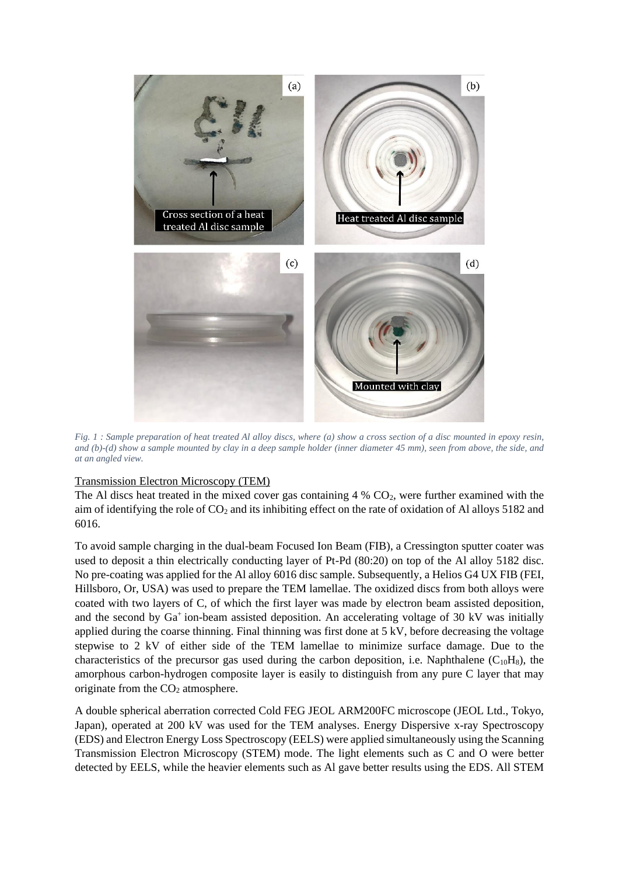

<span id="page-2-0"></span>*Fig. 1 : Sample preparation of heat treated Al alloy discs, where (a) show a cross section of a disc mounted in epoxy resin, and (b)-(d) show a sample mounted by clay in a deep sample holder (inner diameter 45 mm), seen from above, the side, and at an angled view.*

# Transmission Electron Microscopy (TEM)

The Al discs heat treated in the mixed cover gas containing  $4\%$  CO<sub>2</sub>, were further examined with the aim of identifying the role of  $CO<sub>2</sub>$  and its inhibiting effect on the rate of oxidation of Al alloys 5182 and 6016.

To avoid sample charging in the dual-beam Focused Ion Beam (FIB), a Cressington sputter coater was used to deposit a thin electrically conducting layer of Pt-Pd (80:20) on top of the Al alloy 5182 disc. No pre-coating was applied for the Al alloy 6016 disc sample. Subsequently, a Helios G4 UX FIB (FEI, Hillsboro, Or, USA) was used to prepare the TEM lamellae. The oxidized discs from both alloys were coated with two layers of C, of which the first layer was made by electron beam assisted deposition, and the second by  $Ga^+$  ion-beam assisted deposition. An accelerating voltage of 30 kV was initially applied during the coarse thinning. Final thinning was first done at 5 kV, before decreasing the voltage stepwise to 2 kV of either side of the TEM lamellae to minimize surface damage. Due to the characteristics of the precursor gas used during the carbon deposition, i.e. Naphthalene  $(C_{10}H_8)$ , the amorphous carbon-hydrogen composite layer is easily to distinguish from any pure C layer that may originate from the  $CO<sub>2</sub>$  atmosphere.

A double spherical aberration corrected Cold FEG JEOL ARM200FC microscope (JEOL Ltd., Tokyo, Japan), operated at 200 kV was used for the TEM analyses. Energy Dispersive x-ray Spectroscopy (EDS) and Electron Energy Loss Spectroscopy (EELS) were applied simultaneously using the Scanning Transmission Electron Microscopy (STEM) mode. The light elements such as C and O were better detected by EELS, while the heavier elements such as Al gave better results using the EDS. All STEM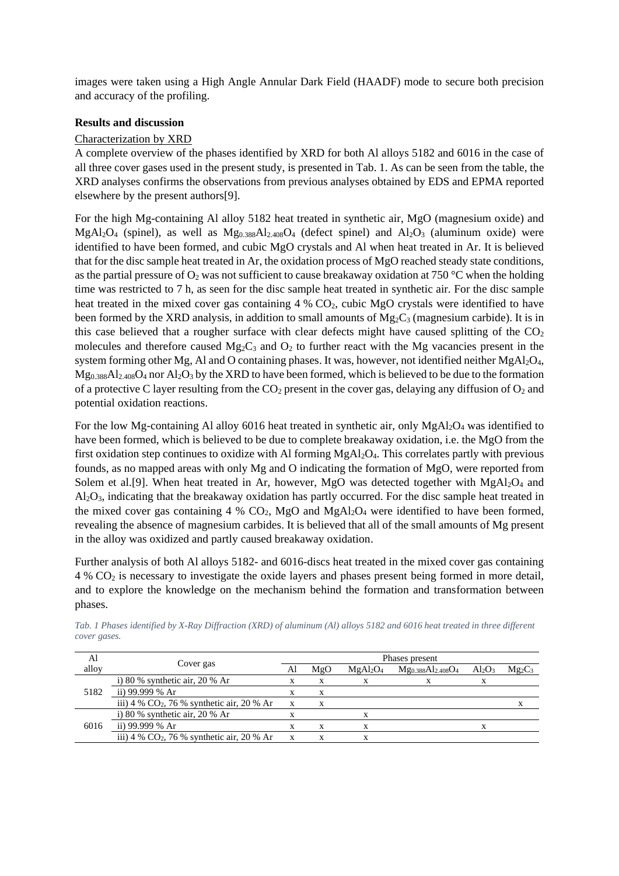images were taken using a High Angle Annular Dark Field (HAADF) mode to secure both precision and accuracy of the profiling.

#### **Results and discussion**

#### Characterization by XRD

A complete overview of the phases identified by XRD for both Al alloys 5182 and 6016 in the case of all three cover gases used in the present study, is presented in [Tab. 1.](#page-3-0) As can be seen from the table, the XRD analyses confirms the observations from previous analyses obtained by EDS and EPMA reported elsewhere by the present authors[9].

For the high Mg-containing Al alloy 5182 heat treated in synthetic air, MgO (magnesium oxide) and MgAl<sub>2</sub>O<sub>4</sub> (spinel), as well as  $Mg_{0.388}Al_{2.408}O_4$  (defect spinel) and  $Al_2O_3$  (aluminum oxide) were identified to have been formed, and cubic MgO crystals and Al when heat treated in Ar. It is believed that for the disc sample heat treated in Ar, the oxidation process of MgO reached steady state conditions, as the partial pressure of  $O_2$  was not sufficient to cause breakaway oxidation at 750 °C when the holding time was restricted to 7 h, as seen for the disc sample heat treated in synthetic air. For the disc sample heat treated in the mixed cover gas containing  $4\%$  CO<sub>2</sub>, cubic MgO crystals were identified to have been formed by the XRD analysis, in addition to small amounts of  $Mg_2C_3$  (magnesium carbide). It is in this case believed that a rougher surface with clear defects might have caused splitting of the  $CO<sub>2</sub>$ molecules and therefore caused  $Mg_2C_3$  and  $O_2$  to further react with the Mg vacancies present in the system forming other Mg, Al and O containing phases. It was, however, not identified neither  $MgA<sub>2</sub>O<sub>4</sub>$ ,  $Mg_{0.388}Al_{2.408}O_4$  nor  $Al_2O_3$  by the XRD to have been formed, which is believed to be due to the formation of a protective C layer resulting from the  $CO<sub>2</sub>$  present in the cover gas, delaying any diffusion of  $O<sub>2</sub>$  and potential oxidation reactions.

For the low Mg-containing Al alloy 6016 heat treated in synthetic air, only MgAl<sub>2</sub>O<sub>4</sub> was identified to have been formed, which is believed to be due to complete breakaway oxidation, i.e. the MgO from the first oxidation step continues to oxidize with Al forming MgAl2O4. This correlates partly with previous founds, as no mapped areas with only Mg and O indicating the formation of MgO, were reported from Solem et al.[9]. When heat treated in Ar, however, MgO was detected together with  $MgAl<sub>2</sub>O<sub>4</sub>$  and Al2O3, indicating that the breakaway oxidation has partly occurred. For the disc sample heat treated in the mixed cover gas containing 4 %  $CO<sub>2</sub>$ , MgO and MgAl<sub>2</sub>O<sub>4</sub> were identified to have been formed, revealing the absence of magnesium carbides. It is believed that all of the small amounts of Mg present in the alloy was oxidized and partly caused breakaway oxidation.

Further analysis of both Al alloys 5182- and 6016-discs heat treated in the mixed cover gas containing 4 % CO<sup>2</sup> is necessary to investigate the oxide layers and phases present being formed in more detail, and to explore the knowledge on the mechanism behind the formation and transformation between phases.

| Al    | Cover gas                                    | Phases present |     |                                  |                           |           |           |
|-------|----------------------------------------------|----------------|-----|----------------------------------|---------------------------|-----------|-----------|
| alloy |                                              | Al             | MgO | MgAl <sub>2</sub> O <sub>4</sub> | $Mg_{0.388}Al_{2.408}O_4$ | $Al_2O_3$ | $Mg_2C_3$ |
| 5182  | i) 80 % synthetic air, 20 % Ar               |                | X   |                                  |                           |           |           |
|       | ii) 99.999 % Ar                              |                |     |                                  |                           |           |           |
|       | iii) 4 % $CO2$ , 76 % synthetic air, 20 % Ar | $\mathbf{x}$   | X   |                                  |                           |           |           |
| 6016  | i) 80 % synthetic air, 20 % Ar               |                |     |                                  |                           |           |           |
|       | ii) 99.999 % Ar                              |                |     |                                  |                           |           |           |
|       | iii) 4 % $CO2$ , 76 % synthetic air, 20 % Ar | X              |     |                                  |                           |           |           |

<span id="page-3-0"></span>*Tab. 1 Phases identified by X-Ray Diffraction (XRD) of aluminum (Al) alloys 5182 and 6016 heat treated in three different cover gases.*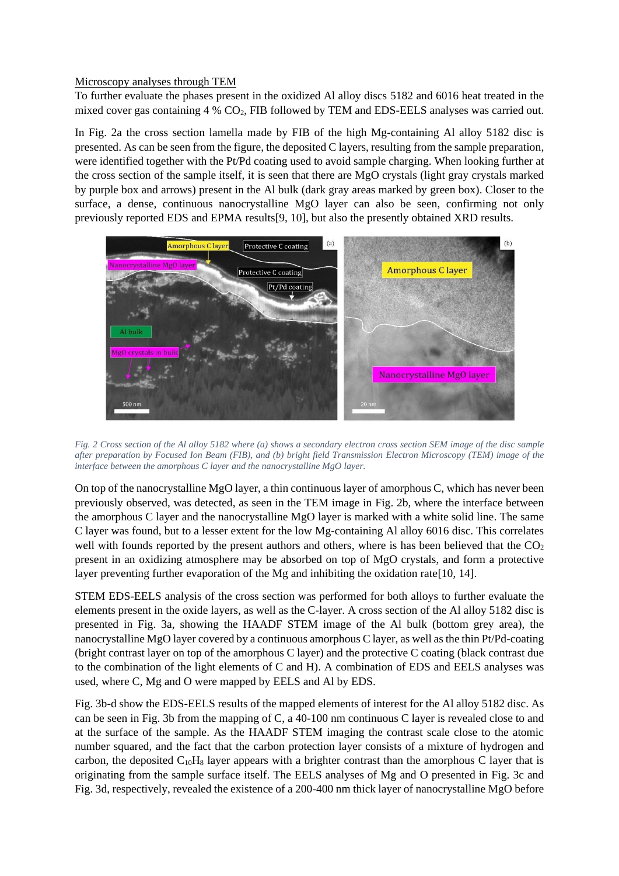# Microscopy analyses through TEM

To further evaluate the phases present in the oxidized Al alloy discs 5182 and 6016 heat treated in the mixed cover gas containing  $4\%$  CO<sub>2</sub>, FIB followed by TEM and EDS-EELS analyses was carried out.

In [Fig.](#page-4-0) 2a the cross section lamella made by FIB of the high Mg-containing Al alloy 5182 disc is presented. As can be seen from the figure, the deposited C layers, resulting from the sample preparation, were identified together with the Pt/Pd coating used to avoid sample charging. When looking further at the cross section of the sample itself, it is seen that there are MgO crystals (light gray crystals marked by purple box and arrows) present in the Al bulk (dark gray areas marked by green box). Closer to the surface, a dense, continuous nanocrystalline MgO layer can also be seen, confirming not only previously reported EDS and EPMA results[9, 10], but also the presently obtained XRD results.



<span id="page-4-0"></span>*Fig. 2 Cross section of the Al alloy 5182 where (a) shows a secondary electron cross section SEM image of the disc sample after preparation by Focused Ion Beam (FIB), and (b) bright field Transmission Electron Microscopy (TEM) image of the interface between the amorphous C layer and the nanocrystalline MgO layer.*

On top of the nanocrystalline MgO layer, a thin continuous layer of amorphous C, which has never been previously observed, was detected, as seen in the TEM image in [Fig.](#page-4-0) 2b, where the interface between the amorphous C layer and the nanocrystalline MgO layer is marked with a white solid line. The same C layer was found, but to a lesser extent for the low Mg-containing Al alloy 6016 disc. This correlates well with founds reported by the present authors and others, where is has been believed that the  $CO<sub>2</sub>$ present in an oxidizing atmosphere may be absorbed on top of MgO crystals, and form a protective layer preventing further evaporation of the Mg and inhibiting the oxidation rate[10, 14].

STEM EDS-EELS analysis of the cross section was performed for both alloys to further evaluate the elements present in the oxide layers, as well as the C-layer. A cross section of the Al alloy 5182 disc is presented in [Fig. 3a](#page-5-0), showing the HAADF STEM image of the Al bulk (bottom grey area), the nanocrystalline MgO layer covered by a continuous amorphous C layer, as well as the thin Pt/Pd-coating (bright contrast layer on top of the amorphous C layer) and the protective C coating (black contrast due to the combination of the light elements of C and H). A combination of EDS and EELS analyses was used, where C, Mg and O were mapped by EELS and Al by EDS.

[Fig. 3b](#page-5-0)-d show the EDS-EELS results of the mapped elements of interest for the Al alloy 5182 disc. As can be seen in [Fig. 3b](#page-5-0) from the mapping of C, a 40-100 nm continuous C layer is revealed close to and at the surface of the sample. As the HAADF STEM imaging the contrast scale close to the atomic number squared, and the fact that the carbon protection layer consists of a mixture of hydrogen and carbon, the deposited  $C_{10}H_8$  layer appears with a brighter contrast than the amorphous C layer that is originating from the sample surface itself. The EELS analyses of Mg and O presented in [Fig. 3c](#page-5-0) and [Fig. 3d](#page-5-0), respectively, revealed the existence of a 200-400 nm thick layer of nanocrystalline MgO before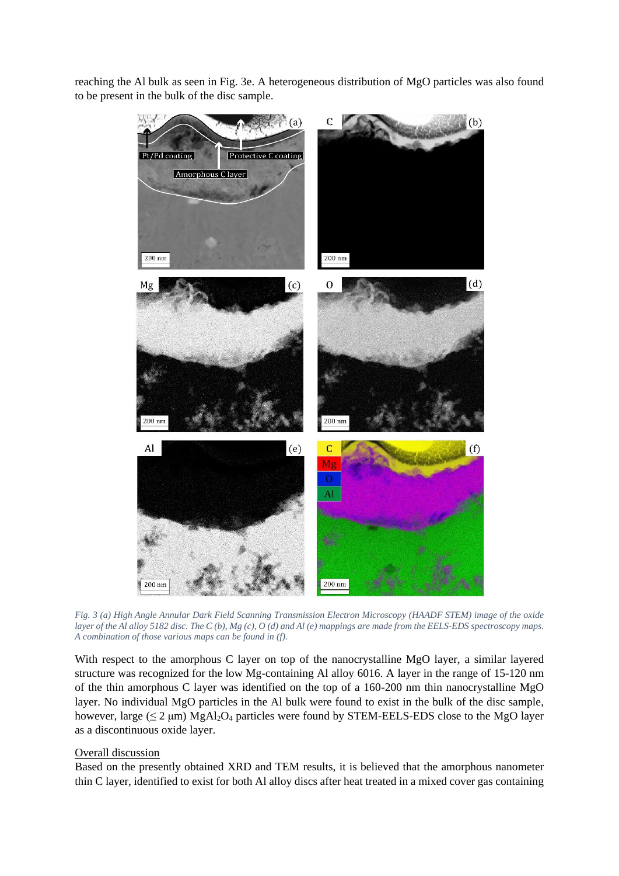reaching the Al bulk as seen in [Fig. 3e](#page-5-0). A heterogeneous distribution of MgO particles was also found to be present in the bulk of the disc sample.



*Fig. 3 (a) High Angle Annular Dark Field Scanning Transmission Electron Microscopy (HAADF STEM) image of the oxide layer of the Al alloy 5182 disc. The C (b), Mg (c), O (d) and Al (e) mappings are made from the EELS-EDS spectroscopy maps. A combination of those various maps can be found in (f).*

<span id="page-5-0"></span>With respect to the amorphous C layer on top of the nanocrystalline MgO layer, a similar layered structure was recognized for the low Mg-containing Al alloy 6016. A layer in the range of 15-120 nm of the thin amorphous C layer was identified on the top of a 160-200 nm thin nanocrystalline MgO layer. No individual MgO particles in the Al bulk were found to exist in the bulk of the disc sample, however, large  $(\leq 2 \mu m)$  MgAl<sub>2</sub>O<sub>4</sub> particles were found by STEM-EELS-EDS close to the MgO layer as a discontinuous oxide layer.

# Overall discussion

Based on the presently obtained XRD and TEM results, it is believed that the amorphous nanometer thin C layer, identified to exist for both Al alloy discs after heat treated in a mixed cover gas containing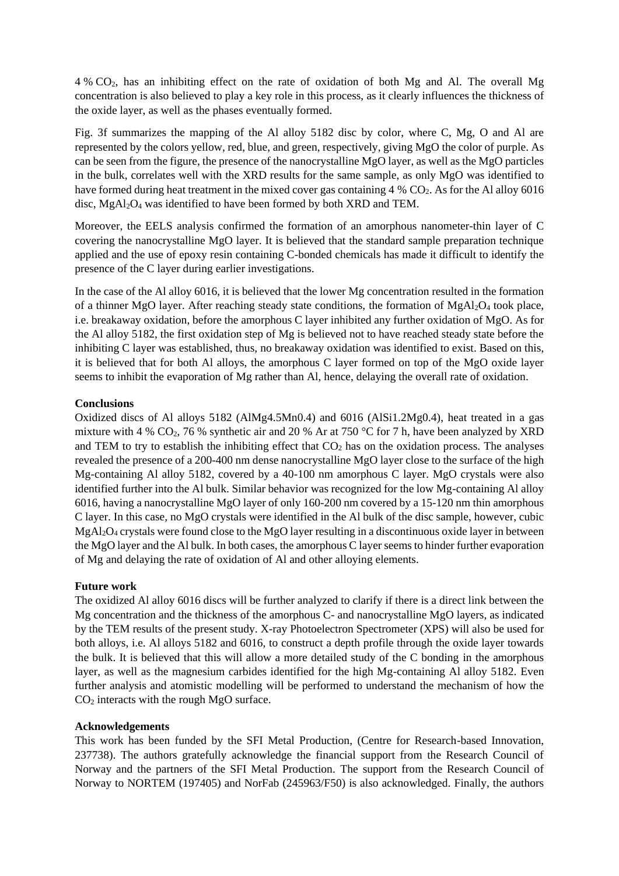4 % CO2, has an inhibiting effect on the rate of oxidation of both Mg and Al. The overall Mg concentration is also believed to play a key role in this process, as it clearly influences the thickness of the oxide layer, as well as the phases eventually formed.

[Fig.](#page-5-0) 3f summarizes the mapping of the Al alloy 5182 disc by color, where C, Mg, O and Al are represented by the colors yellow, red, blue, and green, respectively, giving MgO the color of purple. As can be seen from the figure, the presence of the nanocrystalline MgO layer, as well as the MgO particles in the bulk, correlates well with the XRD results for the same sample, as only MgO was identified to have formed during heat treatment in the mixed cover gas containing 4 % CO<sub>2</sub>. As for the Al alloy 6016 disc, MgAl2O<sup>4</sup> was identified to have been formed by both XRD and TEM.

Moreover, the EELS analysis confirmed the formation of an amorphous nanometer-thin layer of C covering the nanocrystalline MgO layer. It is believed that the standard sample preparation technique applied and the use of epoxy resin containing C-bonded chemicals has made it difficult to identify the presence of the C layer during earlier investigations.

In the case of the Al alloy 6016, it is believed that the lower Mg concentration resulted in the formation of a thinner MgO layer. After reaching steady state conditions, the formation of  $MgAl<sub>2</sub>O<sub>4</sub>$  took place, i.e. breakaway oxidation, before the amorphous C layer inhibited any further oxidation of MgO. As for the Al alloy 5182, the first oxidation step of Mg is believed not to have reached steady state before the inhibiting C layer was established, thus, no breakaway oxidation was identified to exist. Based on this, it is believed that for both Al alloys, the amorphous C layer formed on top of the MgO oxide layer seems to inhibit the evaporation of Mg rather than Al, hence, delaying the overall rate of oxidation.

# **Conclusions**

Oxidized discs of Al alloys 5182 (AlMg4.5Mn0.4) and 6016 (AlSi1.2Mg0.4), heat treated in a gas mixture with 4 %  $CO_2$ , 76 % synthetic air and 20 % Ar at 750 °C for 7 h, have been analyzed by XRD and TEM to try to establish the inhibiting effect that  $CO<sub>2</sub>$  has on the oxidation process. The analyses revealed the presence of a 200-400 nm dense nanocrystalline MgO layer close to the surface of the high Mg-containing Al alloy 5182, covered by a 40-100 nm amorphous C layer. MgO crystals were also identified further into the Al bulk. Similar behavior was recognized for the low Mg-containing Al alloy 6016, having a nanocrystalline MgO layer of only 160-200 nm covered by a 15-120 nm thin amorphous C layer. In this case, no MgO crystals were identified in the Al bulk of the disc sample, however, cubic  $MgAl<sub>2</sub>O<sub>4</sub>$  crystals were found close to the MgO layer resulting in a discontinuous oxide layer in between the MgO layer and the Al bulk. In both cases, the amorphous C layer seems to hinder further evaporation of Mg and delaying the rate of oxidation of Al and other alloying elements.

# **Future work**

The oxidized Al alloy 6016 discs will be further analyzed to clarify if there is a direct link between the Mg concentration and the thickness of the amorphous C- and nanocrystalline MgO layers, as indicated by the TEM results of the present study. X-ray Photoelectron Spectrometer (XPS) will also be used for both alloys, i.e. Al alloys 5182 and 6016, to construct a depth profile through the oxide layer towards the bulk. It is believed that this will allow a more detailed study of the C bonding in the amorphous layer, as well as the magnesium carbides identified for the high Mg-containing Al alloy 5182. Even further analysis and atomistic modelling will be performed to understand the mechanism of how the  $CO<sub>2</sub>$  interacts with the rough MgO surface.

# **Acknowledgements**

This work has been funded by the SFI Metal Production, (Centre for Research-based Innovation, 237738). The authors gratefully acknowledge the financial support from the Research Council of Norway and the partners of the SFI Metal Production. The support from the Research Council of Norway to NORTEM (197405) and NorFab (245963/F50) is also acknowledged. Finally, the authors